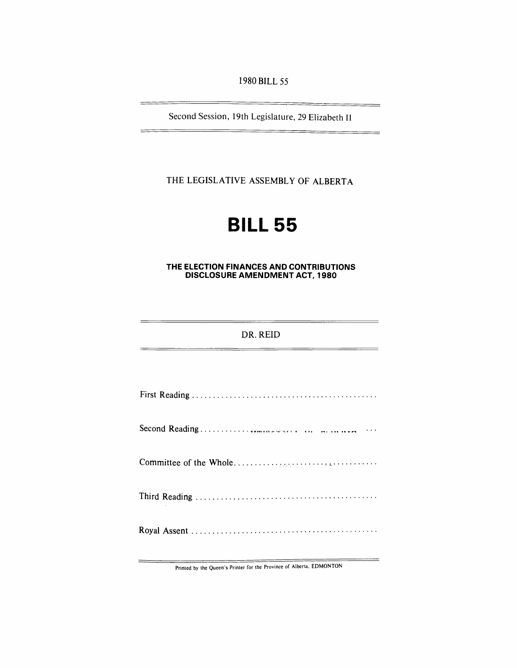1980 BILL 55

Second Session, 19th Legislature, 29 Elizabeth II

THE LEGISLATIVE ASSEMBLY OF ALBERTA

# **BILL 55**

## **THE ELECTION FINANCES AND CONTRIBUTIONS DISCLOSURE AMENDMENT ACT, 1980**

# DR. REID

Printed by the Queen's Printer for the Province of Alberta, EDMONTON

 $\overline{\phantom{0}}$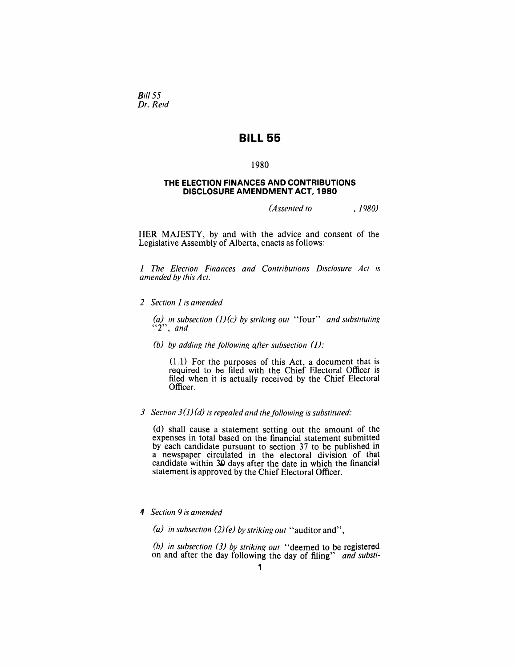Bill 55 *Dr. Reid* 

# **BILL 55**

#### 1980

#### **THE ELECTION FINANCES AND CONTRIBUTIONS DISCLOSURE AMENDMENT ACT, 1980**

*(Assented to , 1980)* 

HER MAJESTY, by and with the advice and consent of the Legislative Assembly of Alberta, enacts as follows:

*1 The Election Finances and Contributions Disclosure Act is amended by this Act.* 

*2 Section* 1 *is amended* 

*(a) in subsection (J)(c) by striking out* "four" *and substituting "2", and* 

*(b) by adding the following after subsection (J):* 

(1.1) For the purposes of this Act, a document that is required to be filed with. the Chief Electoral Officer is filed when it is actually received by the Chief Electoral Officer.

# 3 Section  $3(1)(d)$  is repealed and the following is substituted:

(d) shall cause a statement setting out the amount of the expenses in total based on the financial statement submitted by each candidate pursuant to section 37 to be published in a newspaper circulated in the electoral division of that candidate within 30 days after the date in which the financial statement is approved by the Chief Electoral Officer.

## *4 Section* 9 *is amended*

*(a) in subsection* (2) *(e) by striking out* "auditor and",

*(b) in subsection* (3) *by striking out* "deemed to be registered on and after the day following the day of filing" *and substi-*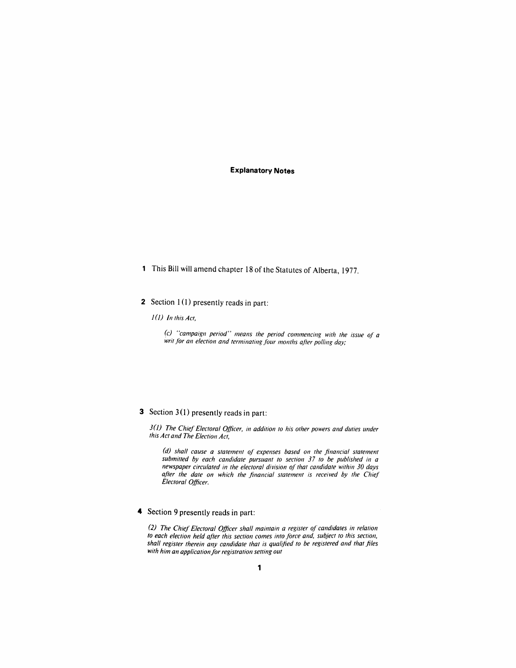## **Explanatory Notes**

1 This Bill will amend chapter 18 of the Statutes of Alberta, 1977.

# 2 Section  $1(1)$  presently reads in part:

*1* (j) *1n this Act,* 

*(c) "campaign period" means the period commencing with the issue* 0/ *a*  writ for an election and terminating four months after polling day;

# 3 Section 3(1) presently reads in part:

*3(J) The Chief Electoral Officer, in addition to his other powers and duties under this Act and The Election Act,* 

(d) shall cause a statement of expenses based on the financial statement *submitted by each candidate pursuant to section* 37 *to be published in a newspaper circulated in the electoral division* 0/ *that candidate within 30 days*  after the date on which the financial statement is received by the Chief *Electoral Officer.* 

#### 4 Section 9 presently reads in part:

*(2) The Chief Electoral Officer shall maintain a register* 0/ *candidates in relation*  to each election held after this section comes into force and, subject to this section, *shall register therein any candidate that is qualified to be registered and that files* with him an application for registration setting out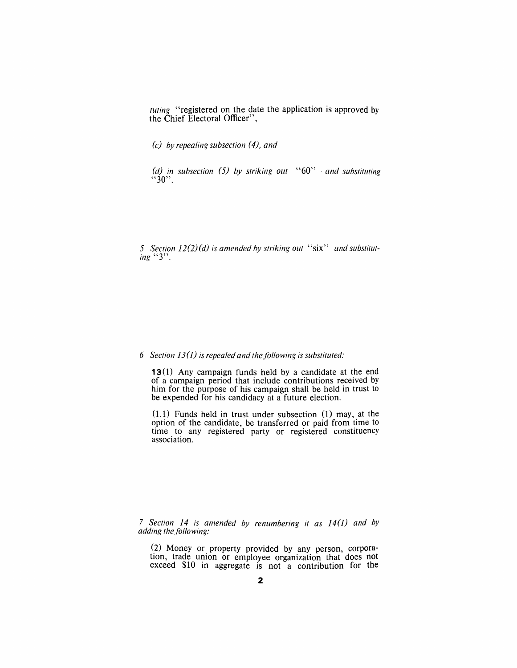*tuting* "registered on the date the application is approved by the Chief Electoral Officer",

*(c) by repealing subsection* (4), *and* 

*(d) in subsection* (5) *by striking out* "60"· *and substituting*  $~^{4}30$ ".

*5 Section* 12(2) *(d) is amended by striking out* "six" *and substituting "3".* 

#### *6 Section 13(J) is repealed and thejGl/owing is substituted:*

13(1) Any campaign funds held by a candidate at the end of a campaign period that include contributions received by him for the purpose of his campaign shall be held in trust to be expended for his candidacy at a future election.

 $(1.1)$  Funds held in trust under subsection  $(1)$  may, at the option of the candidate, be transferred or paid from time to time to any registered party or registered constituency association.

*7 Section* 14 *is amended by renumbering it as* 14 *(J) and by adding the following:* 

(2) Money or property provided by any person, corporation, trade union or employee organization that does not exceed \$10 in aggregate is not a contribution for the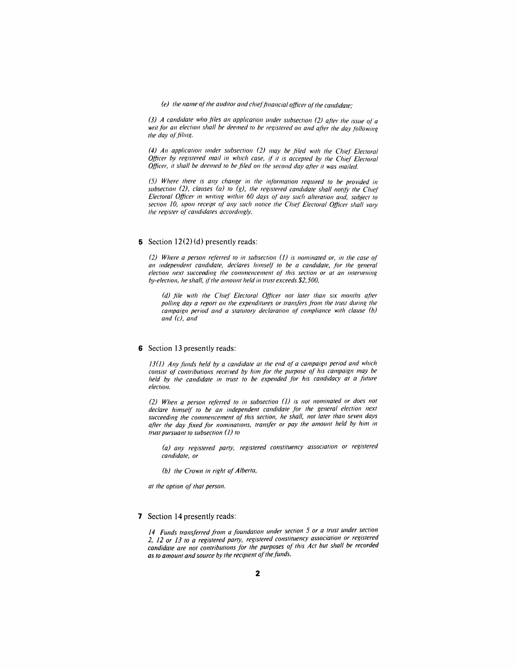*(e)* the name of the auditor and chief financial officer of the candidate;

*(3) A candidate who files an application under subsection (2) after the issue of a writ for an election shall be deemed to be registered on and after the day following the day of filing.* 

*(4) All applicatioll ullder subsectioll* (2) *may be .filed with the Chief Electoral Officer by registered mail in which case, if it is accepted by the Chief Electoral* Officer, it shall be deemed to be filed on the second day after it was mailed.

(5) Where there is any change in the information required to be provided in *subsection (2), clauses (a) to (g), the registered candidate shall notify the Chief Electoral Officer in writing within 60 days of any such alteration and, subject to* section 10, upon receipt of any such notice the Chief Electoral Officer shall vary *the register of candidates accordingly.* 

#### 5 Section  $12(2)(d)$  presently reads:

(2) Where a person referred to in subsection (1) is nominated or, in the case of an independent candidate, declares himself to be a candidate, for the general *election next succeeding the commencement of this section or at an intervening* by-election, he shall, if the amount held in trust exceeds \$2,500,

(d) file with the Chief Electoral Officer not later than six months after polling day a report on the expenditures or transfers from the trust during the *campaign period and a statutory declaration of compliance with clause (b) and (c), and* 

#### 6 Section 13 presently reads:

13(1) Any funds held by a candidate at the end of a campaign period and which consist of contributions received by him for the purpose of his campaign may be *held by the candidate in trust to be expended for his candidacy at a future election.* 

(2) When a person referred to in subsection (1) is not nominated or does not declare himself to be an independent candidate for the general election next *succeeding the commencement of this section, he shall, not later than seven days*  after the day fixed for nominations, transfer or pay the amount held by him in *trust pursuant to subsection* (1) *to* 

*(a) any registered party, registered constituency association or registered candidate, or* 

*(b) the Crown in right of Alberta,* 

*at the option of that person.* 

#### 7 Section **14** presently reads:

*14 Funds transjerred from a foundation under section* 5 *or a trust under section*  2, 12 *or* 13 *to a registered party, registered constituency association or registered candidate are not contributions jar the purposes of this Act bur shall be recorded*  as to amount and source by the recipient of the funds.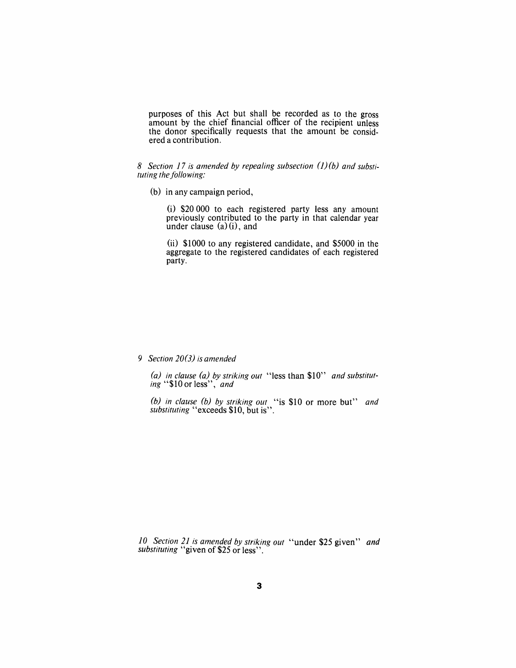purposes of this Act but shall be recorded as to the gross amount by the chief financial officer of the recipient unless the donor specifically requests that the amount be considered a contribution.

8 Section 17 is amended by repealing subsection (1)(b) and substituting the following:

(b) in any campaign period,

(i) \$20 000 to each registered party less any amount previously contributed to the party in that calendar year under clause  $(a)(i)$ , and

(ii) \$1000 to any registered candidate, and \$5000 in the aggregate to the registered candidates of each registered party.

*9 Section 20(3) is amended* 

*(a) in clause (a) by striking out* "less than \$10" *and substituting* "\$10 or less", *and* 

*(b) in clause (b) by striking out* "is \$10 or more but" *and substituting* "exceeds \$10, but is".

*10 Section* 21 *is amended by striking out* "under \$25 given" *and substituting* "given of \$25 or less".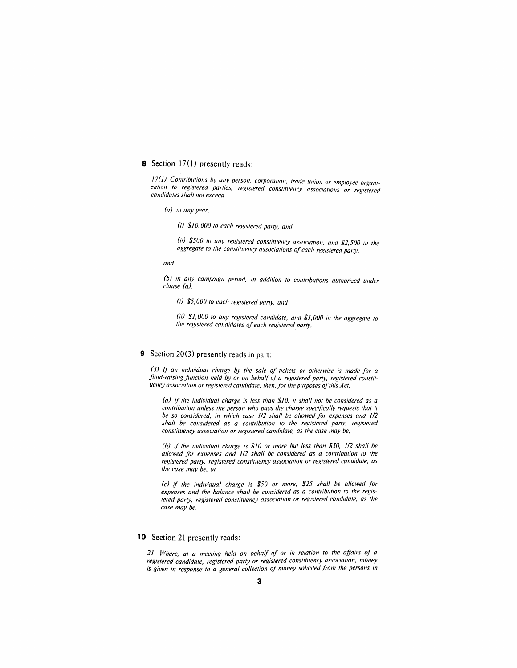#### 8 Section  $17(1)$  presently reads:

*17(1)* Contributions by any person, corporation, trade union or employee organization to registered parties, registered constituency associations or registered *candidates shall not exceed* 

*(a) in any year*,

(i) \$10,000 to each registered party, and

*(ii)* \$500 to any registered constituency association, and \$2,500 in the aggregate to the constituency associations of each registered party,

and

(b) in any campaign period, in addition to contributions authorized under *clause (a),* 

*(i)* \$5, *000 to each registered party, and* 

(ii) \$1,000 to any registered candidate, and \$5,000 in the aggregate to *the registered candidates of each registered party.* 

#### 9 Section 20(3) presently reads in part:

*(3) fl an individual charge by the sale of tickets or otherwise is made for a*  fund-raising function held by or on behalf of a registered party, registered constit*uency association or registered candidate, then, for the purposes of this Act,* 

*(a) if the individual charge is less than \$10, it shall not be considered as a contribution unless the person who pays the charge specifically requests that it be so considered, in which case 1/2 shall be allowed for expenses and 1/2 shall be considered as a contribution to the registered party, registered constituency association or registered candidate, as the case may be,* 

*(b)* if *the individual charge is \$10 or more but less than \$50,* 1/2 *shall be allowed jar expenses and* 1/2 *shall be considered as a contribution to the registered party, registered constituency association or registered candidate, as the case may be, or* 

*(c)* if the individual charge is \$50 or more, \$25 shall be allowed for *expenses and the balance shall be considered as a contribution to the registered party, registered constituency association or registered candidate, as the case may be.* 

#### 10 Section 21 presently reads:

*21 Where, at a meeting held on behalf of or in relation to the affairs of a registered candidate, registered party or registered constituency association, money is given in response to a general collection of money solicited from the persons in*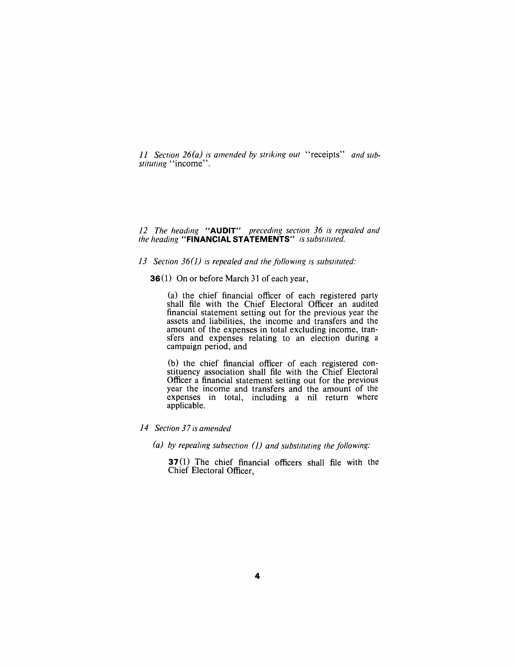*11 Section 26(a) is amended by striking out "receipts" and substituting* "income".

#### *12 The heading* **"AUDIT"** *preceding section* 36 *is repealed and the heading* **"FINANCIAL STATEMENTS"** *is substituted.*

## 13 Section 36(1) is repealed and the following is substituted:

**36** (1) On or before March 31 of each year,

(a) the chief financial officer of each registered party shall file with the Chief Electoral Officer an audited financial statement setting out for the previous year the assets and liabilities, the income and transfers and the amount of the expenses in total excluding income, transfers and expenses relating to an election during a campaign period, and

(b) the chief financial officer of each registered constituency association shall file with the Chief Electoral Officer a financial statement setting out for the previous year the income and transfers and the amount of the expenses in total, including a nil return where applicable.

## *14 Section* 37 *is amended*

*(a) by repealing subsection (J) and substituting the following:* 

**37**(1) The chief financial officers shall file with the Chief Electoral Officer,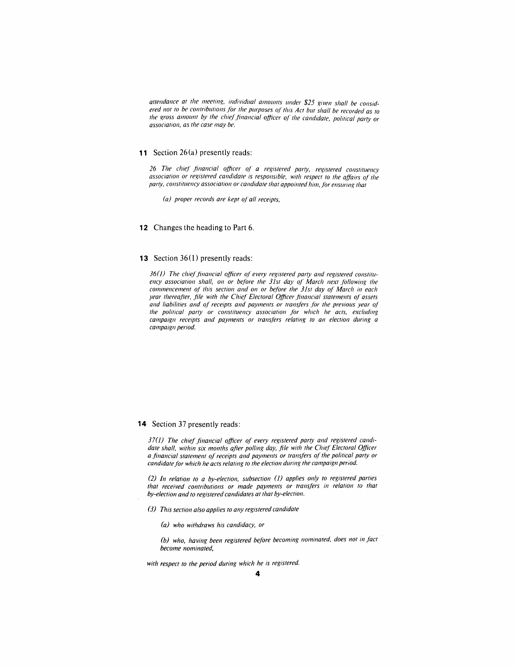attendance at the meeting, individual amounts under \$25 given shall be considered not to be contributions for the purposes of this Act but shall be recorded as to *The gross amount by the chief financial officer of the candidate, political party or association, as the case may be.* 

#### **11** Section 26(a) presently reads:

26 The chief financial officer of a registered party, registered constituency association or registered candidate is responsible, with respect to the affairs of the *party, constituency association or candidate that appointed him, for ensuring that* 

*(a) proper records are kept of all receipts,* 

**12** Changes the heading to Part 6.

#### **13** Section 36(1) presently reads:

36(1) The chief financial officer of every registered party and registered constituency association shall, on or before the 31st day of March next following the *commencement of this section and on or before the 31st day of March in each year thereafter, file with the Chief Electoral Officer financial statements of assets* and liabilities and of receipts and payments or transfers for the previous year of the political party or constituency association for which he acts, excluding *campaign receipts and payments or transfers relating to an election during a campaign period.* 

#### **14** Section 37 presently reads:

*37(J) The chief financial officer of every registered parry and registered candidate shall, within six months affer polling day, file with the Chief Electoral Officer*  a financial statement of receipts and payments or transfers of the political party or candidate for which he acts relating to the election during the campaign period.

*(2) In relation to a by-election, subsection (J) applies only to registered parties that received contributions or made payments or trans/ers in relation to that by-election and to registered candidates at that by-election.* 

- *(3) This section also applies to any registered candidate* 
	- *(a) who withdraws his candidacy, or*

*(b) who, having been registered bejore becoming nominated, does not in fact become nominated,* 

*with respect to the period during which he is registered.*